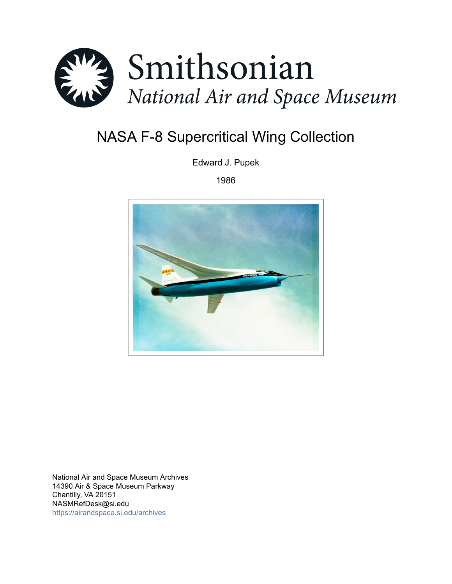

# NASA F-8 Supercritical Wing Collection

Edward J. Pupek

1986



National Air and Space Museum Archives 14390 Air & Space Museum Parkway Chantilly, VA 20151 NASMRefDesk@si.edu <https://airandspace.si.edu/archives>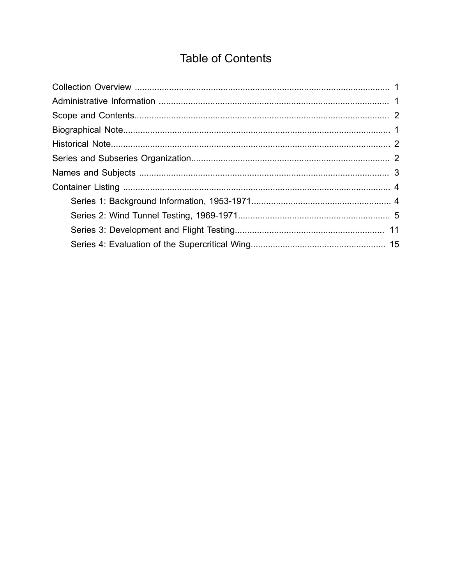# **Table of Contents**

<span id="page-1-0"></span>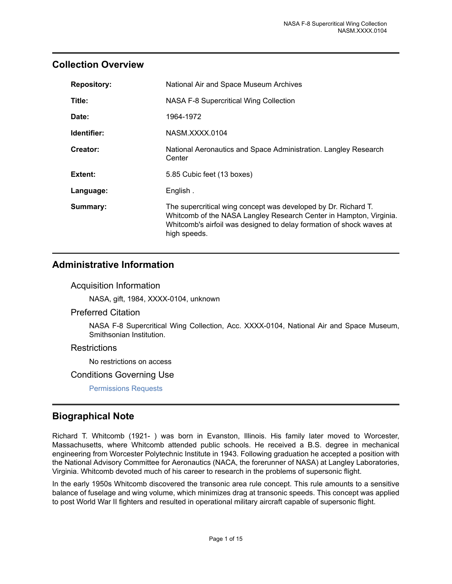### <span id="page-2-0"></span>**Collection Overview**

| <b>Repository:</b> | National Air and Space Museum Archives                                                                                                                                                                                       |
|--------------------|------------------------------------------------------------------------------------------------------------------------------------------------------------------------------------------------------------------------------|
| Title:             | NASA F-8 Supercritical Wing Collection                                                                                                                                                                                       |
| Date:              | 1964-1972                                                                                                                                                                                                                    |
| Identifier:        | NASM.XXXX.0104                                                                                                                                                                                                               |
| Creator:           | National Aeronautics and Space Administration. Langley Research<br>Center                                                                                                                                                    |
| Extent:            | 5.85 Cubic feet (13 boxes)                                                                                                                                                                                                   |
| Language:          | English.                                                                                                                                                                                                                     |
| Summary:           | The supercritical wing concept was developed by Dr. Richard T.<br>Whitcomb of the NASA Langley Research Center in Hampton, Virginia.<br>Whitcomb's airfoil was designed to delay formation of shock waves at<br>high speeds. |

### <span id="page-2-1"></span>**Administrative Information**

#### Acquisition Information

NASA, gift, 1984, XXXX-0104, unknown

#### Preferred Citation

NASA F-8 Supercritical Wing Collection, Acc. XXXX-0104, National Air and Space Museum, Smithsonian Institution.

#### **Restrictions**

No restrictions on access

#### Conditions Governing Use

[Permissions Requests](http://airandspace.si.edu/research/arch/permissions.cfm)

### <span id="page-2-2"></span>**Biographical Note**

Richard T. Whitcomb (1921- ) was born in Evanston, Illinois. His family later moved to Worcester, Massachusetts, where Whitcomb attended public schools. He received a B.S. degree in mechanical engineering from Worcester Polytechnic Institute in 1943. Following graduation he accepted a position with the National Advisory Committee for Aeronautics (NACA, the forerunner of NASA) at Langley Laboratories, Virginia. Whitcomb devoted much of his career to research in the problems of supersonic flight.

In the early 1950s Whitcomb discovered the transonic area rule concept. This rule amounts to a sensitive balance of fuselage and wing volume, which minimizes drag at transonic speeds. This concept was applied to post World War II fighters and resulted in operational military aircraft capable of supersonic flight.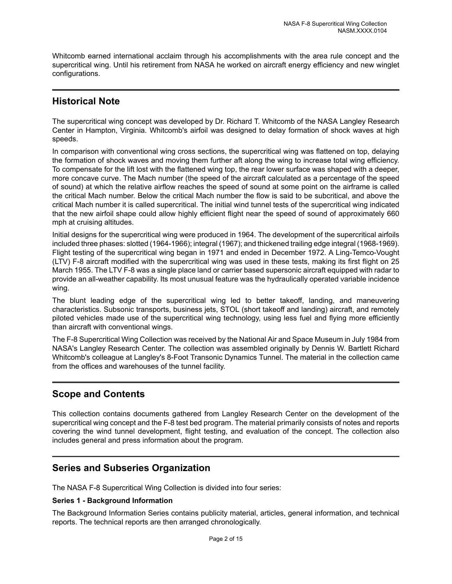Whitcomb earned international acclaim through his accomplishments with the area rule concept and the supercritical wing. Until his retirement from NASA he worked on aircraft energy efficiency and new winglet configurations.

### <span id="page-3-1"></span>**Historical Note**

The supercritical wing concept was developed by Dr. Richard T. Whitcomb of the NASA Langley Research Center in Hampton, Virginia. Whitcomb's airfoil was designed to delay formation of shock waves at high speeds.

In comparison with conventional wing cross sections, the supercritical wing was flattened on top, delaying the formation of shock waves and moving them further aft along the wing to increase total wing efficiency. To compensate for the lift lost with the flattened wing top, the rear lower surface was shaped with a deeper, more concave curve. The Mach number (the speed of the aircraft calculated as a percentage of the speed of sound) at which the relative airflow reaches the speed of sound at some point on the airframe is called the critical Mach number. Below the critical Mach number the flow is said to be subcritical, and above the critical Mach number it is called supercritical. The initial wind tunnel tests of the supercritical wing indicated that the new airfoil shape could allow highly efficient flight near the speed of sound of approximately 660 mph at cruising altitudes.

Initial designs for the supercritical wing were produced in 1964. The development of the supercritical airfoils included three phases: slotted (1964-1966); integral (1967); and thickened trailing edge integral (1968-1969). Flight testing of the supercritical wing began in 1971 and ended in December 1972. A Ling-Temco-Vought (LTV) F-8 aircraft modified with the supercritical wing was used in these tests, making its first flight on 25 March 1955. The LTV F-8 was a single place land or carrier based supersonic aircraft equipped with radar to provide an all-weather capability. Its most unusual feature was the hydraulically operated variable incidence wing.

The blunt leading edge of the supercritical wing led to better takeoff, landing, and maneuvering characteristics. Subsonic transports, business jets, STOL (short takeoff and landing) aircraft, and remotely piloted vehicles made use of the supercritical wing technology, using less fuel and flying more efficiently than aircraft with conventional wings.

The F-8 Supercritical Wing Collection was received by the National Air and Space Museum in July 1984 from NASA's Langley Research Center. The collection was assembled originally by Dennis W. Bartlett Richard Whitcomb's colleague at Langley's 8-Foot Transonic Dynamics Tunnel. The material in the collection came from the offices and warehouses of the tunnel facility.

## <span id="page-3-0"></span>**Scope and Contents**

This collection contains documents gathered from Langley Research Center on the development of the supercritical wing concept and the F-8 test bed program. The material primarily consists of notes and reports covering the wind tunnel development, flight testing, and evaluation of the concept. The collection also includes general and press information about the program.

## <span id="page-3-2"></span>**Series and Subseries Organization**

The NASA F-8 Supercritical Wing Collection is divided into four series:

#### **Series 1 - Background Information**

The Background Information Series contains publicity material, articles, general information, and technical reports. The technical reports are then arranged chronologically.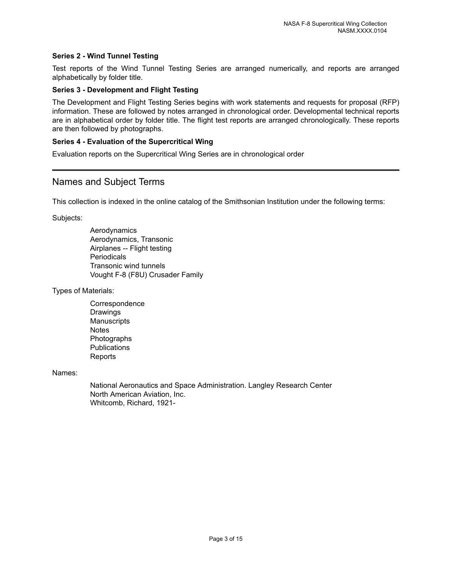#### **Series 2 - Wind Tunnel Testing**

Test reports of the Wind Tunnel Testing Series are arranged numerically, and reports are arranged alphabetically by folder title.

#### **Series 3 - Development and Flight Testing**

The Development and Flight Testing Series begins with work statements and requests for proposal (RFP) information. These are followed by notes arranged in chronological order. Developmental technical reports are in alphabetical order by folder title. The flight test reports are arranged chronologically. These reports are then followed by photographs.

#### **Series 4 - Evaluation of the Supercritical Wing**

Evaluation reports on the Supercritical Wing Series are in chronological order

#### <span id="page-4-0"></span>Names and Subject Terms

This collection is indexed in the online catalog of the Smithsonian Institution under the following terms:

Subjects:

Aerodynamics Aerodynamics, Transonic Airplanes -- Flight testing **Periodicals** Transonic wind tunnels Vought F-8 (F8U) Crusader Family

Types of Materials:

**Correspondence** Drawings **Manuscripts Notes** Photographs **Publications** Reports

Names:

National Aeronautics and Space Administration. Langley Research Center North American Aviation, Inc. Whitcomb, Richard, 1921-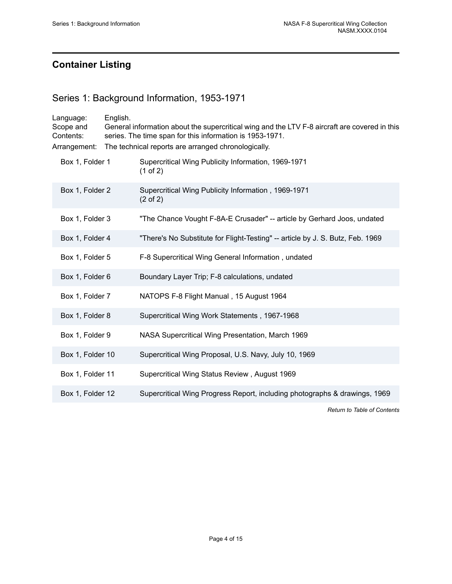# <span id="page-5-0"></span>**Container Listing**

## <span id="page-5-1"></span>Series 1: Background Information, 1953-1971

| Language:<br>Scope and<br>Contents:<br>Arrangement: | English.<br>General information about the supercritical wing and the LTV F-8 aircraft are covered in this<br>series. The time span for this information is 1953-1971.<br>The technical reports are arranged chronologically. |                                                                                |
|-----------------------------------------------------|------------------------------------------------------------------------------------------------------------------------------------------------------------------------------------------------------------------------------|--------------------------------------------------------------------------------|
| Box 1, Folder 1                                     |                                                                                                                                                                                                                              | Supercritical Wing Publicity Information, 1969-1971<br>(1 of 2)                |
| Box 1, Folder 2                                     |                                                                                                                                                                                                                              | Supercritical Wing Publicity Information, 1969-1971<br>$(2 \text{ of } 2)$     |
| Box 1, Folder 3                                     |                                                                                                                                                                                                                              | "The Chance Vought F-8A-E Crusader" -- article by Gerhard Joos, undated        |
| Box 1, Folder 4                                     |                                                                                                                                                                                                                              | "There's No Substitute for Flight-Testing" -- article by J. S. Butz, Feb. 1969 |
| Box 1, Folder 5                                     |                                                                                                                                                                                                                              | F-8 Supercritical Wing General Information, undated                            |
| Box 1, Folder 6                                     |                                                                                                                                                                                                                              | Boundary Layer Trip; F-8 calculations, undated                                 |
| Box 1, Folder 7                                     |                                                                                                                                                                                                                              | NATOPS F-8 Flight Manual, 15 August 1964                                       |
| Box 1, Folder 8                                     |                                                                                                                                                                                                                              | Supercritical Wing Work Statements, 1967-1968                                  |
| Box 1, Folder 9                                     |                                                                                                                                                                                                                              | NASA Supercritical Wing Presentation, March 1969                               |
| Box 1, Folder 10                                    |                                                                                                                                                                                                                              | Supercritical Wing Proposal, U.S. Navy, July 10, 1969                          |
| Box 1, Folder 11                                    |                                                                                                                                                                                                                              | Supercritical Wing Status Review, August 1969                                  |
| Box 1, Folder 12                                    |                                                                                                                                                                                                                              | Supercritical Wing Progress Report, including photographs & drawings, 1969     |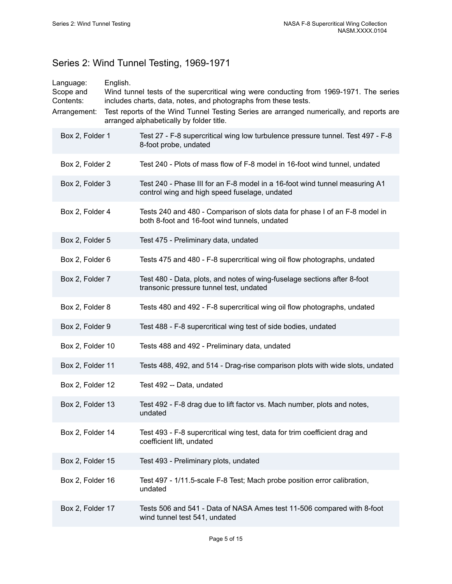# <span id="page-6-0"></span>Series 2: Wind Tunnel Testing, 1969-1971

| Language:<br>Scope and<br>Contents:<br>Arrangement: | English. | Wind tunnel tests of the supercritical wing were conducting from 1969-1971. The series<br>includes charts, data, notes, and photographs from these tests.<br>Test reports of the Wind Tunnel Testing Series are arranged numerically, and reports are<br>arranged alphabetically by folder title. |
|-----------------------------------------------------|----------|---------------------------------------------------------------------------------------------------------------------------------------------------------------------------------------------------------------------------------------------------------------------------------------------------|
| Box 2, Folder 1                                     |          | Test 27 - F-8 supercritical wing low turbulence pressure tunnel. Test 497 - F-8<br>8-foot probe, undated                                                                                                                                                                                          |
| Box 2, Folder 2                                     |          | Test 240 - Plots of mass flow of F-8 model in 16-foot wind tunnel, undated                                                                                                                                                                                                                        |
| Box 2, Folder 3                                     |          | Test 240 - Phase III for an F-8 model in a 16-foot wind tunnel measuring A1<br>control wing and high speed fuselage, undated                                                                                                                                                                      |
| Box 2, Folder 4                                     |          | Tests 240 and 480 - Comparison of slots data for phase I of an F-8 model in<br>both 8-foot and 16-foot wind tunnels, undated                                                                                                                                                                      |
| Box 2, Folder 5                                     |          | Test 475 - Preliminary data, undated                                                                                                                                                                                                                                                              |
| Box 2, Folder 6                                     |          | Tests 475 and 480 - F-8 supercritical wing oil flow photographs, undated                                                                                                                                                                                                                          |
| Box 2, Folder 7                                     |          | Test 480 - Data, plots, and notes of wing-fuselage sections after 8-foot<br>transonic pressure tunnel test, undated                                                                                                                                                                               |
| Box 2, Folder 8                                     |          | Tests 480 and 492 - F-8 supercritical wing oil flow photographs, undated                                                                                                                                                                                                                          |
| Box 2, Folder 9                                     |          | Test 488 - F-8 supercritical wing test of side bodies, undated                                                                                                                                                                                                                                    |
| Box 2, Folder 10                                    |          | Tests 488 and 492 - Preliminary data, undated                                                                                                                                                                                                                                                     |
| Box 2, Folder 11                                    |          | Tests 488, 492, and 514 - Drag-rise comparison plots with wide slots, undated                                                                                                                                                                                                                     |
| Box 2, Folder 12                                    |          | Test 492 -- Data, undated                                                                                                                                                                                                                                                                         |
| Box 2, Folder 13                                    |          | Test 492 - F-8 drag due to lift factor vs. Mach number, plots and notes,<br>undated                                                                                                                                                                                                               |
| Box 2, Folder 14                                    |          | Test 493 - F-8 supercritical wing test, data for trim coefficient drag and<br>coefficient lift, undated                                                                                                                                                                                           |
| Box 2, Folder 15                                    |          | Test 493 - Preliminary plots, undated                                                                                                                                                                                                                                                             |
| Box 2, Folder 16                                    |          | Test 497 - 1/11.5-scale F-8 Test; Mach probe position error calibration,<br>undated                                                                                                                                                                                                               |
| Box 2, Folder 17                                    |          | Tests 506 and 541 - Data of NASA Ames test 11-506 compared with 8-foot<br>wind tunnel test 541, undated                                                                                                                                                                                           |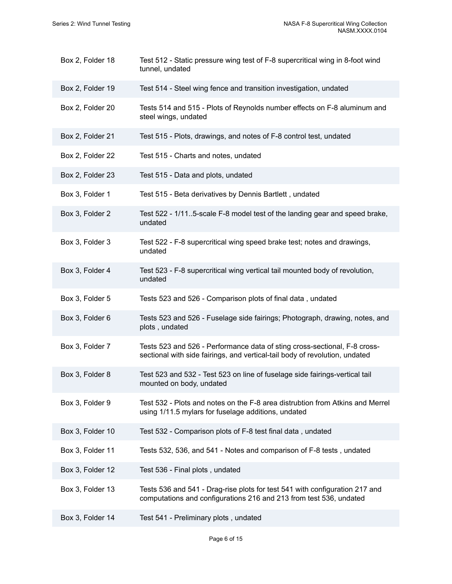| Box 2, Folder 18 | Test 512 - Static pressure wing test of F-8 supercritical wing in 8-foot wind<br>tunnel, undated                                                         |
|------------------|----------------------------------------------------------------------------------------------------------------------------------------------------------|
| Box 2, Folder 19 | Test 514 - Steel wing fence and transition investigation, undated                                                                                        |
| Box 2, Folder 20 | Tests 514 and 515 - Plots of Reynolds number effects on F-8 aluminum and<br>steel wings, undated                                                         |
| Box 2, Folder 21 | Test 515 - Plots, drawings, and notes of F-8 control test, undated                                                                                       |
| Box 2, Folder 22 | Test 515 - Charts and notes, undated                                                                                                                     |
| Box 2, Folder 23 | Test 515 - Data and plots, undated                                                                                                                       |
| Box 3, Folder 1  | Test 515 - Beta derivatives by Dennis Bartlett, undated                                                                                                  |
| Box 3, Folder 2  | Test 522 - 1/115-scale F-8 model test of the landing gear and speed brake,<br>undated                                                                    |
| Box 3, Folder 3  | Test 522 - F-8 supercritical wing speed brake test; notes and drawings,<br>undated                                                                       |
| Box 3, Folder 4  | Test 523 - F-8 supercritical wing vertical tail mounted body of revolution,<br>undated                                                                   |
| Box 3, Folder 5  | Tests 523 and 526 - Comparison plots of final data, undated                                                                                              |
| Box 3, Folder 6  | Tests 523 and 526 - Fuselage side fairings; Photograph, drawing, notes, and<br>plots, undated                                                            |
| Box 3, Folder 7  | Tests 523 and 526 - Performance data of sting cross-sectional, F-8 cross-<br>sectional with side fairings, and vertical-tail body of revolution, undated |
| Box 3, Folder 8  | Test 523 and 532 - Test 523 on line of fuselage side fairings-vertical tail<br>mounted on body, undated                                                  |
| Box 3, Folder 9  | Test 532 - Plots and notes on the F-8 area distrubtion from Atkins and Merrel<br>using 1/11.5 mylars for fuselage additions, undated                     |
| Box 3, Folder 10 | Test 532 - Comparison plots of F-8 test final data, undated                                                                                              |
| Box 3, Folder 11 | Tests 532, 536, and 541 - Notes and comparison of F-8 tests, undated                                                                                     |
| Box 3, Folder 12 | Test 536 - Final plots, undated                                                                                                                          |
| Box 3, Folder 13 | Tests 536 and 541 - Drag-rise plots for test 541 with configuration 217 and<br>computations and configurations 216 and 213 from test 536, undated        |
| Box 3, Folder 14 | Test 541 - Preliminary plots, undated                                                                                                                    |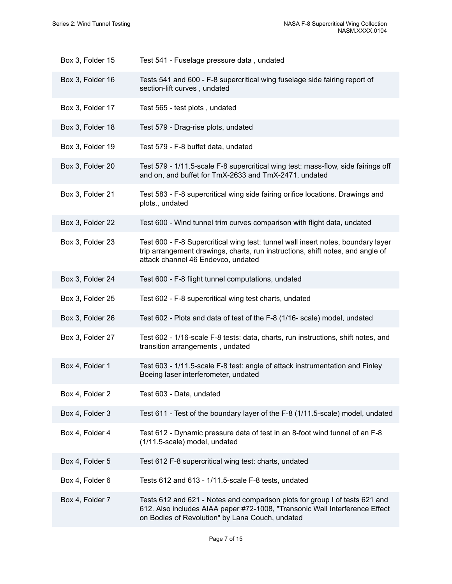| Box 3, Folder 15 | Test 541 - Fuselage pressure data, undated                                                                                                                                                                    |
|------------------|---------------------------------------------------------------------------------------------------------------------------------------------------------------------------------------------------------------|
| Box 3, Folder 16 | Tests 541 and 600 - F-8 supercritical wing fuselage side fairing report of<br>section-lift curves, undated                                                                                                    |
| Box 3, Folder 17 | Test 565 - test plots, undated                                                                                                                                                                                |
| Box 3, Folder 18 | Test 579 - Drag-rise plots, undated                                                                                                                                                                           |
| Box 3, Folder 19 | Test 579 - F-8 buffet data, undated                                                                                                                                                                           |
| Box 3, Folder 20 | Test 579 - 1/11.5-scale F-8 supercritical wing test: mass-flow, side fairings off<br>and on, and buffet for TmX-2633 and TmX-2471, undated                                                                    |
| Box 3, Folder 21 | Test 583 - F-8 supercritical wing side fairing orifice locations. Drawings and<br>plots., undated                                                                                                             |
| Box 3, Folder 22 | Test 600 - Wind tunnel trim curves comparison with flight data, undated                                                                                                                                       |
| Box 3, Folder 23 | Test 600 - F-8 Supercritical wing test: tunnel wall insert notes, boundary layer<br>trip arrangement drawings, charts, run instructions, shift notes, and angle of<br>attack channel 46 Endevco, undated      |
| Box 3, Folder 24 | Test 600 - F-8 flight tunnel computations, undated                                                                                                                                                            |
| Box 3, Folder 25 | Test 602 - F-8 supercritical wing test charts, undated                                                                                                                                                        |
| Box 3, Folder 26 | Test 602 - Plots and data of test of the F-8 (1/16- scale) model, undated                                                                                                                                     |
| Box 3, Folder 27 | Test 602 - 1/16-scale F-8 tests: data, charts, run instructions, shift notes, and<br>transition arrangements, undated                                                                                         |
| Box 4, Folder 1  | Test 603 - 1/11.5-scale F-8 test: angle of attack instrumentation and Finley<br>Boeing laser interferometer, undated                                                                                          |
| Box 4, Folder 2  | Test 603 - Data, undated                                                                                                                                                                                      |
| Box 4, Folder 3  | Test 611 - Test of the boundary layer of the F-8 (1/11.5-scale) model, undated                                                                                                                                |
| Box 4, Folder 4  | Test 612 - Dynamic pressure data of test in an 8-foot wind tunnel of an F-8<br>(1/11.5-scale) model, undated                                                                                                  |
| Box 4, Folder 5  | Test 612 F-8 supercritical wing test: charts, undated                                                                                                                                                         |
| Box 4, Folder 6  | Tests 612 and 613 - 1/11.5-scale F-8 tests, undated                                                                                                                                                           |
| Box 4, Folder 7  | Tests 612 and 621 - Notes and comparison plots for group I of tests 621 and<br>612. Also includes AIAA paper #72-1008, "Transonic Wall Interference Effect<br>on Bodies of Revolution" by Lana Couch, undated |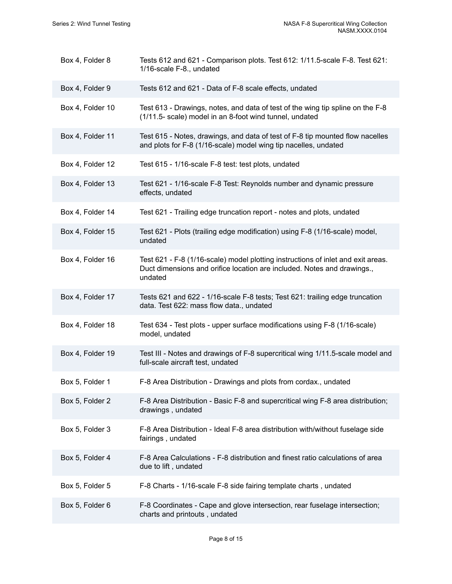| Box 4, Folder 8  | Tests 612 and 621 - Comparison plots. Test 612: 1/11.5-scale F-8. Test 621:<br>1/16-scale F-8., undated                                                                |
|------------------|------------------------------------------------------------------------------------------------------------------------------------------------------------------------|
| Box 4, Folder 9  | Tests 612 and 621 - Data of F-8 scale effects, undated                                                                                                                 |
| Box 4, Folder 10 | Test 613 - Drawings, notes, and data of test of the wing tip spline on the F-8<br>(1/11.5- scale) model in an 8-foot wind tunnel, undated                              |
| Box 4, Folder 11 | Test 615 - Notes, drawings, and data of test of F-8 tip mounted flow nacelles<br>and plots for F-8 (1/16-scale) model wing tip nacelles, undated                       |
| Box 4, Folder 12 | Test 615 - 1/16-scale F-8 test: test plots, undated                                                                                                                    |
| Box 4, Folder 13 | Test 621 - 1/16-scale F-8 Test: Reynolds number and dynamic pressure<br>effects, undated                                                                               |
| Box 4, Folder 14 | Test 621 - Trailing edge truncation report - notes and plots, undated                                                                                                  |
| Box 4, Folder 15 | Test 621 - Plots (trailing edge modification) using F-8 (1/16-scale) model,<br>undated                                                                                 |
| Box 4, Folder 16 | Test 621 - F-8 (1/16-scale) model plotting instructions of inlet and exit areas.<br>Duct dimensions and orifice location are included. Notes and drawings.,<br>undated |
| Box 4, Folder 17 | Tests 621 and 622 - 1/16-scale F-8 tests; Test 621: trailing edge truncation<br>data. Test 622: mass flow data., undated                                               |
| Box 4, Folder 18 | Test 634 - Test plots - upper surface modifications using F-8 (1/16-scale)<br>model, undated                                                                           |
| Box 4, Folder 19 | Test III - Notes and drawings of F-8 supercritical wing 1/11.5-scale model and<br>full-scale aircraft test, undated                                                    |
| Box 5, Folder 1  | F-8 Area Distribution - Drawings and plots from cordax., undated                                                                                                       |
| Box 5, Folder 2  | F-8 Area Distribution - Basic F-8 and supercritical wing F-8 area distribution;<br>drawings, undated                                                                   |
| Box 5, Folder 3  | F-8 Area Distribution - Ideal F-8 area distribution with/without fuselage side<br>fairings, undated                                                                    |
| Box 5, Folder 4  | F-8 Area Calculations - F-8 distribution and finest ratio calculations of area<br>due to lift, undated                                                                 |
| Box 5, Folder 5  | F-8 Charts - 1/16-scale F-8 side fairing template charts, undated                                                                                                      |
| Box 5, Folder 6  | F-8 Coordinates - Cape and glove intersection, rear fuselage intersection;<br>charts and printouts, undated                                                            |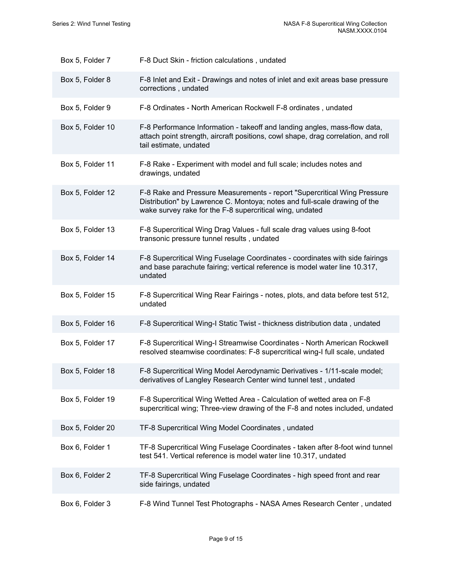| Box 5, Folder 7  | F-8 Duct Skin - friction calculations, undated                                                                                                                                                                    |
|------------------|-------------------------------------------------------------------------------------------------------------------------------------------------------------------------------------------------------------------|
| Box 5, Folder 8  | F-8 Inlet and Exit - Drawings and notes of inlet and exit areas base pressure<br>corrections, undated                                                                                                             |
| Box 5, Folder 9  | F-8 Ordinates - North American Rockwell F-8 ordinates, undated                                                                                                                                                    |
| Box 5, Folder 10 | F-8 Performance Information - takeoff and landing angles, mass-flow data,<br>attach point strength, aircraft positions, cowl shape, drag correlation, and roll<br>tail estimate, undated                          |
| Box 5, Folder 11 | F-8 Rake - Experiment with model and full scale; includes notes and<br>drawings, undated                                                                                                                          |
| Box 5, Folder 12 | F-8 Rake and Pressure Measurements - report "Supercritical Wing Pressure<br>Distribution" by Lawrence C. Montoya; notes and full-scale drawing of the<br>wake survey rake for the F-8 supercritical wing, undated |
| Box 5, Folder 13 | F-8 Supercritical Wing Drag Values - full scale drag values using 8-foot<br>transonic pressure tunnel results, undated                                                                                            |
| Box 5, Folder 14 | F-8 Supercritical Wing Fuselage Coordinates - coordinates with side fairings<br>and base parachute fairing; vertical reference is model water line 10.317,<br>undated                                             |
| Box 5, Folder 15 | F-8 Supercritical Wing Rear Fairings - notes, plots, and data before test 512,<br>undated                                                                                                                         |
| Box 5, Folder 16 | F-8 Supercritical Wing-I Static Twist - thickness distribution data, undated                                                                                                                                      |
| Box 5, Folder 17 | F-8 Supercritical Wing-I Streamwise Coordinates - North American Rockwell<br>resolved steamwise coordinates: F-8 supercritical wing-I full scale, undated                                                         |
| Box 5, Folder 18 | F-8 Supercritical Wing Model Aerodynamic Derivatives - 1/11-scale model;<br>derivatives of Langley Research Center wind tunnel test, undated                                                                      |
| Box 5, Folder 19 | F-8 Supercritical Wing Wetted Area - Calculation of wetted area on F-8<br>supercritical wing; Three-view drawing of the F-8 and notes included, undated                                                           |
| Box 5, Folder 20 | TF-8 Supercritical Wing Model Coordinates, undated                                                                                                                                                                |
| Box 6, Folder 1  | TF-8 Supercritical Wing Fuselage Coordinates - taken after 8-foot wind tunnel<br>test 541. Vertical reference is model water line 10.317, undated                                                                 |
| Box 6, Folder 2  | TF-8 Supercritical Wing Fuselage Coordinates - high speed front and rear<br>side fairings, undated                                                                                                                |
| Box 6, Folder 3  | F-8 Wind Tunnel Test Photographs - NASA Ames Research Center, undated                                                                                                                                             |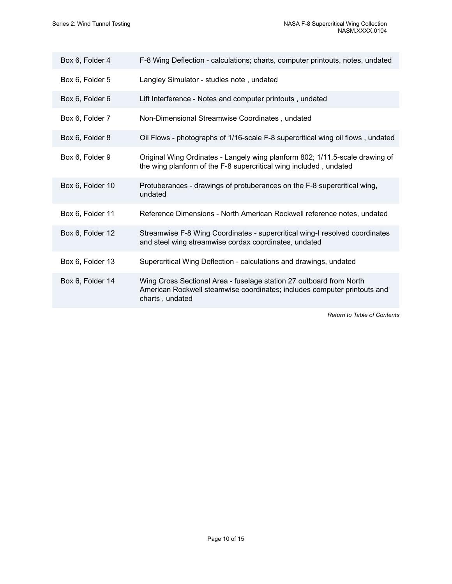| Box 6, Folder 4  | F-8 Wing Deflection - calculations; charts, computer printouts, notes, undated                                                                                     |
|------------------|--------------------------------------------------------------------------------------------------------------------------------------------------------------------|
| Box 6, Folder 5  | Langley Simulator - studies note, undated                                                                                                                          |
| Box 6, Folder 6  | Lift Interference - Notes and computer printouts, undated                                                                                                          |
| Box 6, Folder 7  | Non-Dimensional Streamwise Coordinates, undated                                                                                                                    |
| Box 6, Folder 8  | Oil Flows - photographs of 1/16-scale F-8 supercritical wing oil flows, undated                                                                                    |
| Box 6, Folder 9  | Original Wing Ordinates - Langely wing planform 802; 1/11.5-scale drawing of<br>the wing planform of the F-8 supercritical wing included, undated                  |
| Box 6, Folder 10 | Protuberances - drawings of protuberances on the F-8 supercritical wing,<br>undated                                                                                |
| Box 6, Folder 11 | Reference Dimensions - North American Rockwell reference notes, undated                                                                                            |
| Box 6, Folder 12 | Streamwise F-8 Wing Coordinates - supercritical wing-I resolved coordinates<br>and steel wing streamwise cordax coordinates, undated                               |
| Box 6, Folder 13 | Supercritical Wing Deflection - calculations and drawings, undated                                                                                                 |
| Box 6, Folder 14 | Wing Cross Sectional Area - fuselage station 27 outboard from North<br>American Rockwell steamwise coordinates; includes computer printouts and<br>charts, undated |
|                  |                                                                                                                                                                    |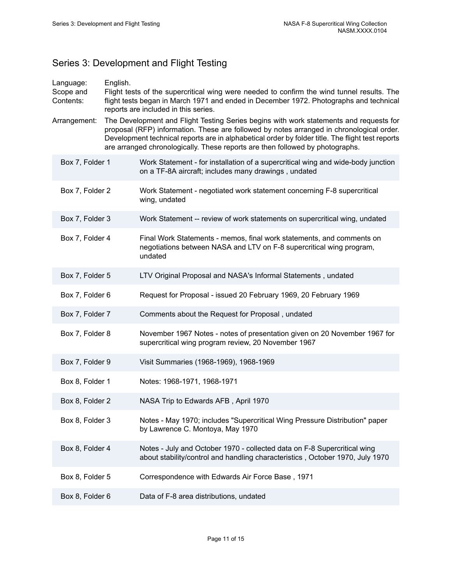# <span id="page-12-0"></span>Series 3: Development and Flight Testing

| Language:<br>Scope and<br>Contents: | English.<br>Flight tests of the supercritical wing were needed to confirm the wind tunnel results. The<br>flight tests began in March 1971 and ended in December 1972. Photographs and technical<br>reports are included in this series. |                                                                                                                                                                                                                                                                                                                                                                         |  |
|-------------------------------------|------------------------------------------------------------------------------------------------------------------------------------------------------------------------------------------------------------------------------------------|-------------------------------------------------------------------------------------------------------------------------------------------------------------------------------------------------------------------------------------------------------------------------------------------------------------------------------------------------------------------------|--|
| Arrangement:                        |                                                                                                                                                                                                                                          | The Development and Flight Testing Series begins with work statements and requests for<br>proposal (RFP) information. These are followed by notes arranged in chronological order.<br>Development technical reports are in alphabetical order by folder title. The flight test reports<br>are arranged chronologically. These reports are then followed by photographs. |  |
| Box 7, Folder 1                     |                                                                                                                                                                                                                                          | Work Statement - for installation of a supercritical wing and wide-body junction<br>on a TF-8A aircraft; includes many drawings, undated                                                                                                                                                                                                                                |  |
| Box 7, Folder 2                     |                                                                                                                                                                                                                                          | Work Statement - negotiated work statement concerning F-8 supercritical<br>wing, undated                                                                                                                                                                                                                                                                                |  |
| Box 7, Folder 3                     |                                                                                                                                                                                                                                          | Work Statement -- review of work statements on supercritical wing, undated                                                                                                                                                                                                                                                                                              |  |
| Box 7, Folder 4                     |                                                                                                                                                                                                                                          | Final Work Statements - memos, final work statements, and comments on<br>negotiations between NASA and LTV on F-8 supercritical wing program,<br>undated                                                                                                                                                                                                                |  |
| Box 7, Folder 5                     |                                                                                                                                                                                                                                          | LTV Original Proposal and NASA's Informal Statements, undated                                                                                                                                                                                                                                                                                                           |  |
| Box 7, Folder 6                     |                                                                                                                                                                                                                                          | Request for Proposal - issued 20 February 1969, 20 February 1969                                                                                                                                                                                                                                                                                                        |  |
| Box 7, Folder 7                     |                                                                                                                                                                                                                                          | Comments about the Request for Proposal, undated                                                                                                                                                                                                                                                                                                                        |  |
| Box 7, Folder 8                     |                                                                                                                                                                                                                                          | November 1967 Notes - notes of presentation given on 20 November 1967 for<br>supercritical wing program review, 20 November 1967                                                                                                                                                                                                                                        |  |
| Box 7, Folder 9                     |                                                                                                                                                                                                                                          | Visit Summaries (1968-1969), 1968-1969                                                                                                                                                                                                                                                                                                                                  |  |
| Box 8, Folder 1                     |                                                                                                                                                                                                                                          | Notes: 1968-1971, 1968-1971                                                                                                                                                                                                                                                                                                                                             |  |
| Box 8, Folder 2                     |                                                                                                                                                                                                                                          | NASA Trip to Edwards AFB, April 1970                                                                                                                                                                                                                                                                                                                                    |  |
| Box 8, Folder 3                     |                                                                                                                                                                                                                                          | Notes - May 1970; includes "Supercritical Wing Pressure Distribution" paper<br>by Lawrence C. Montoya, May 1970                                                                                                                                                                                                                                                         |  |
| Box 8, Folder 4                     |                                                                                                                                                                                                                                          | Notes - July and October 1970 - collected data on F-8 Supercritical wing<br>about stability/control and handling characteristics, October 1970, July 1970                                                                                                                                                                                                               |  |
| Box 8, Folder 5                     |                                                                                                                                                                                                                                          | Correspondence with Edwards Air Force Base, 1971                                                                                                                                                                                                                                                                                                                        |  |
| Box 8, Folder 6                     |                                                                                                                                                                                                                                          | Data of F-8 area distributions, undated                                                                                                                                                                                                                                                                                                                                 |  |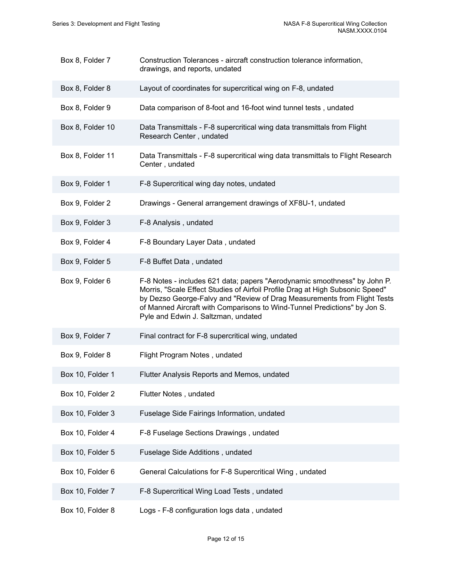| Box 8, Folder 7  | Construction Tolerances - aircraft construction tolerance information,<br>drawings, and reports, undated                                                                                                                                                                                                                                                   |
|------------------|------------------------------------------------------------------------------------------------------------------------------------------------------------------------------------------------------------------------------------------------------------------------------------------------------------------------------------------------------------|
| Box 8, Folder 8  | Layout of coordinates for supercritical wing on F-8, undated                                                                                                                                                                                                                                                                                               |
| Box 8, Folder 9  | Data comparison of 8-foot and 16-foot wind tunnel tests, undated                                                                                                                                                                                                                                                                                           |
| Box 8, Folder 10 | Data Transmittals - F-8 supercritical wing data transmittals from Flight<br>Research Center, undated                                                                                                                                                                                                                                                       |
| Box 8, Folder 11 | Data Transmittals - F-8 supercritical wing data transmittals to Flight Research<br>Center, undated                                                                                                                                                                                                                                                         |
| Box 9, Folder 1  | F-8 Supercritical wing day notes, undated                                                                                                                                                                                                                                                                                                                  |
| Box 9, Folder 2  | Drawings - General arrangement drawings of XF8U-1, undated                                                                                                                                                                                                                                                                                                 |
| Box 9, Folder 3  | F-8 Analysis, undated                                                                                                                                                                                                                                                                                                                                      |
| Box 9, Folder 4  | F-8 Boundary Layer Data, undated                                                                                                                                                                                                                                                                                                                           |
| Box 9, Folder 5  | F-8 Buffet Data, undated                                                                                                                                                                                                                                                                                                                                   |
| Box 9, Folder 6  | F-8 Notes - includes 621 data; papers "Aerodynamic smoothness" by John P.<br>Morris, "Scale Effect Studies of Airfoil Profile Drag at High Subsonic Speed"<br>by Dezso George-Falvy and "Review of Drag Measurements from Flight Tests<br>of Manned Aircraft with Comparisons to Wind-Tunnel Predictions" by Jon S.<br>Pyle and Edwin J. Saltzman, undated |
| Box 9, Folder 7  | Final contract for F-8 supercritical wing, undated                                                                                                                                                                                                                                                                                                         |
| Box 9, Folder 8  | Flight Program Notes, undated                                                                                                                                                                                                                                                                                                                              |
| Box 10, Folder 1 | Flutter Analysis Reports and Memos, undated                                                                                                                                                                                                                                                                                                                |
| Box 10, Folder 2 | Flutter Notes, undated                                                                                                                                                                                                                                                                                                                                     |
| Box 10, Folder 3 | Fuselage Side Fairings Information, undated                                                                                                                                                                                                                                                                                                                |
| Box 10, Folder 4 | F-8 Fuselage Sections Drawings, undated                                                                                                                                                                                                                                                                                                                    |
| Box 10, Folder 5 | Fuselage Side Additions, undated                                                                                                                                                                                                                                                                                                                           |
| Box 10, Folder 6 | General Calculations for F-8 Supercritical Wing, undated                                                                                                                                                                                                                                                                                                   |
| Box 10, Folder 7 | F-8 Supercritical Wing Load Tests, undated                                                                                                                                                                                                                                                                                                                 |
| Box 10, Folder 8 | Logs - F-8 configuration logs data, undated                                                                                                                                                                                                                                                                                                                |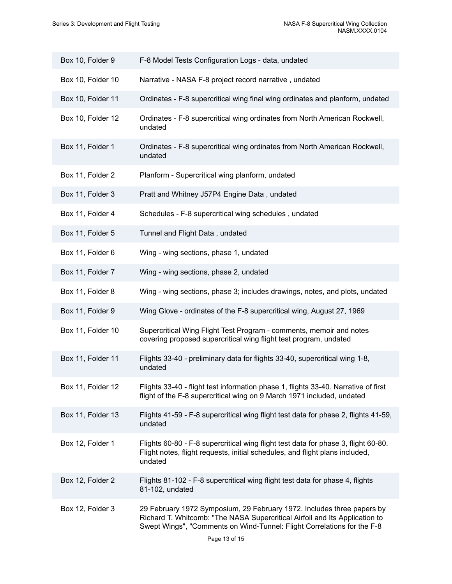| Box 10, Folder 9  | F-8 Model Tests Configuration Logs - data, undated                                                                                                                                                                               |
|-------------------|----------------------------------------------------------------------------------------------------------------------------------------------------------------------------------------------------------------------------------|
| Box 10, Folder 10 | Narrative - NASA F-8 project record narrative, undated                                                                                                                                                                           |
| Box 10, Folder 11 | Ordinates - F-8 supercritical wing final wing ordinates and planform, undated                                                                                                                                                    |
| Box 10, Folder 12 | Ordinates - F-8 supercritical wing ordinates from North American Rockwell,<br>undated                                                                                                                                            |
| Box 11, Folder 1  | Ordinates - F-8 supercritical wing ordinates from North American Rockwell,<br>undated                                                                                                                                            |
| Box 11, Folder 2  | Planform - Supercritical wing planform, undated                                                                                                                                                                                  |
| Box 11, Folder 3  | Pratt and Whitney J57P4 Engine Data, undated                                                                                                                                                                                     |
| Box 11, Folder 4  | Schedules - F-8 supercritical wing schedules, undated                                                                                                                                                                            |
| Box 11, Folder 5  | Tunnel and Flight Data, undated                                                                                                                                                                                                  |
| Box 11, Folder 6  | Wing - wing sections, phase 1, undated                                                                                                                                                                                           |
| Box 11, Folder 7  | Wing - wing sections, phase 2, undated                                                                                                                                                                                           |
| Box 11, Folder 8  | Wing - wing sections, phase 3; includes drawings, notes, and plots, undated                                                                                                                                                      |
| Box 11, Folder 9  | Wing Glove - ordinates of the F-8 supercritical wing, August 27, 1969                                                                                                                                                            |
| Box 11, Folder 10 | Supercritical Wing Flight Test Program - comments, memoir and notes<br>covering proposed supercritical wing flight test program, undated                                                                                         |
| Box 11, Folder 11 | Flights 33-40 - preliminary data for flights 33-40, supercritical wing 1-8,<br>undated                                                                                                                                           |
| Box 11, Folder 12 | Flights 33-40 - flight test information phase 1, flights 33-40. Narrative of first<br>flight of the F-8 supercritical wing on 9 March 1971 included, undated                                                                     |
| Box 11, Folder 13 | Flights 41-59 - F-8 supercritical wing flight test data for phase 2, flights 41-59,<br>undated                                                                                                                                   |
| Box 12, Folder 1  | Flights 60-80 - F-8 supercritical wing flight test data for phase 3, flight 60-80.<br>Flight notes, flight requests, initial schedules, and flight plans included,<br>undated                                                    |
| Box 12, Folder 2  | Flights 81-102 - F-8 supercritical wing flight test data for phase 4, flights<br>81-102, undated                                                                                                                                 |
| Box 12, Folder 3  | 29 February 1972 Symposium, 29 February 1972. Includes three papers by<br>Richard T. Whitcomb: "The NASA Supercritical Airfoil and Its Application to<br>Swept Wings", "Comments on Wind-Tunnel: Flight Correlations for the F-8 |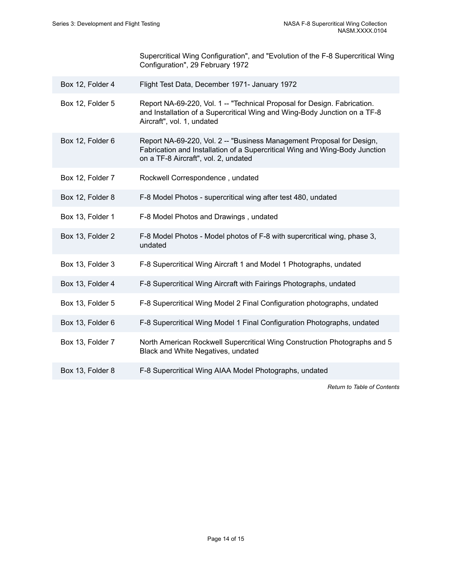Supercritical Wing Configuration", and "Evolution of the F-8 Supercritical Wing Configuration", 29 February 1972

- Box 12, Folder 4 Flight Test Data, December 1971- January 1972
- Box 12, Folder 5 Report NA-69-220, Vol. 1 -- "Technical Proposal for Design. Fabrication. and Installation of a Supercritical Wing and Wing-Body Junction on a TF-8 Aircraft", vol. 1, undated
- Box 12, Folder 6 Report NA-69-220, Vol. 2 -- "Business Management Proposal for Design, Fabrication and Installation of a Supercritical Wing and Wing-Body Junction on a TF-8 Aircraft", vol. 2, undated
- Box 12, Folder 7 Rockwell Correspondence , undated
- Box 12, Folder 8 F-8 Model Photos supercritical wing after test 480, undated
- Box 13, Folder 1 F-8 Model Photos and Drawings , undated
- Box 13, Folder 2 F-8 Model Photos Model photos of F-8 with supercritical wing, phase 3, undated
- Box 13, Folder 3 F-8 Supercritical Wing Aircraft 1 and Model 1 Photographs, undated
- Box 13, Folder 4 F-8 Supercritical Wing Aircraft with Fairings Photographs, undated
- Box 13, Folder 5 F-8 Supercritical Wing Model 2 Final Configuration photographs, undated
- Box 13, Folder 6 F-8 Supercritical Wing Model 1 Final Configuration Photographs, undated
- Box 13, Folder 7 North American Rockwell Supercritical Wing Construction Photographs and 5 Black and White Negatives, undated
- Box 13, Folder 8 F-8 Supercritical Wing AIAA Model Photographs, undated